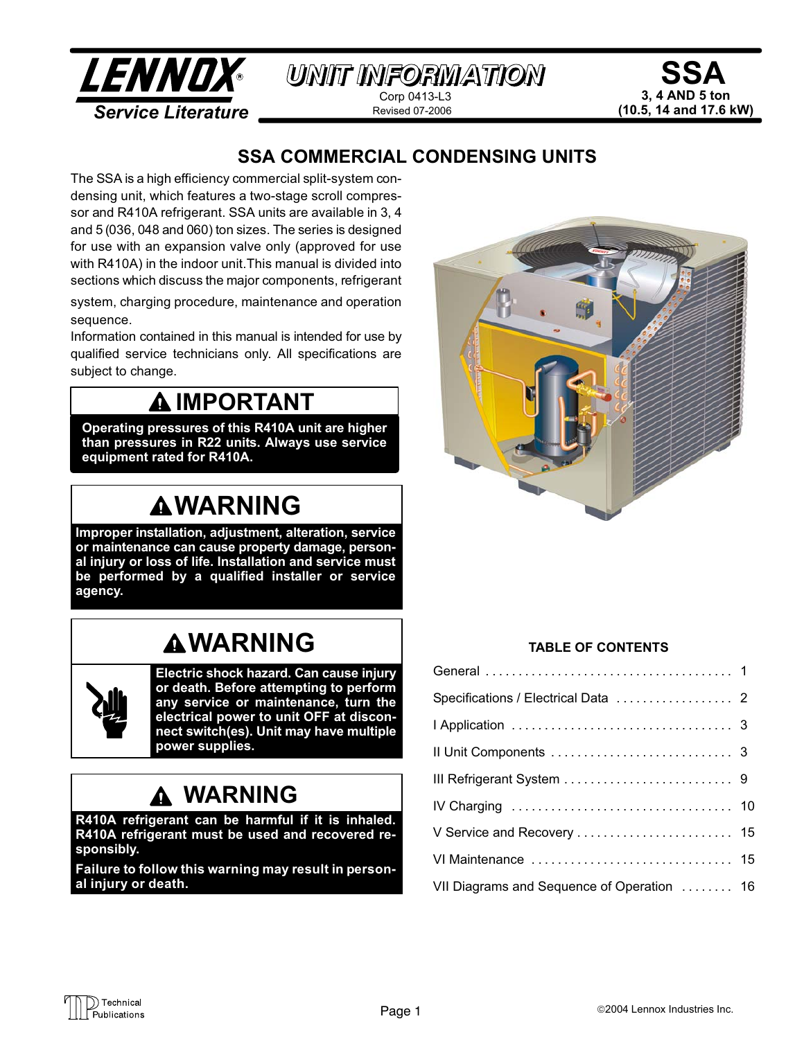

# SSA 3, 4 AND 5 ton (10.5, 14 and 17.6 kW)

# SSA COMMERCIAL CONDENSING UNITS

The SSA is a high efficiency commercial split−system condensing unit, which features a two−stage scroll compressor and R410A refrigerant. SSA units are available in 3, 4 and 5 (036, 048 and 060) ton sizes. The series is designed for use with an expansion valve only (approved for use with R410A) in the indoor unit.This manual is divided into sections which discuss the major components, refrigerant

system, charging procedure, maintenance and operation sequence.

Information contained in this manual is intended for use by qualified service technicians only. All specifications are subject to change.

# **AIMPORTANT**

Operating pressures of this R410A unit are higher than pressures in R22 units. Always use service equipment rated for R410A.

# **AWARNING**

Improper installation, adjustment, alteration, service or maintenance can cause property damage, personal injury or loss of life. Installation and service must be performed by a qualified installer or service agency.

# **AWARNING**



Electric shock hazard. Can cause injury or death. Before attempting to perform any service or maintenance, turn the electrical power to unit OFF at disconnect switch(es). Unit may have multiple power supplies.

# WARNING

R410A refrigerant can be harmful if it is inhaled. R410A refrigerant must be used and recovered responsibly.

Failure to follow this warning may result in personal injury or death.



### TABLE OF CONTENTS

| VII Diagrams and Sequence of Operation  16 |  |
|--------------------------------------------|--|

◯) Technical Publications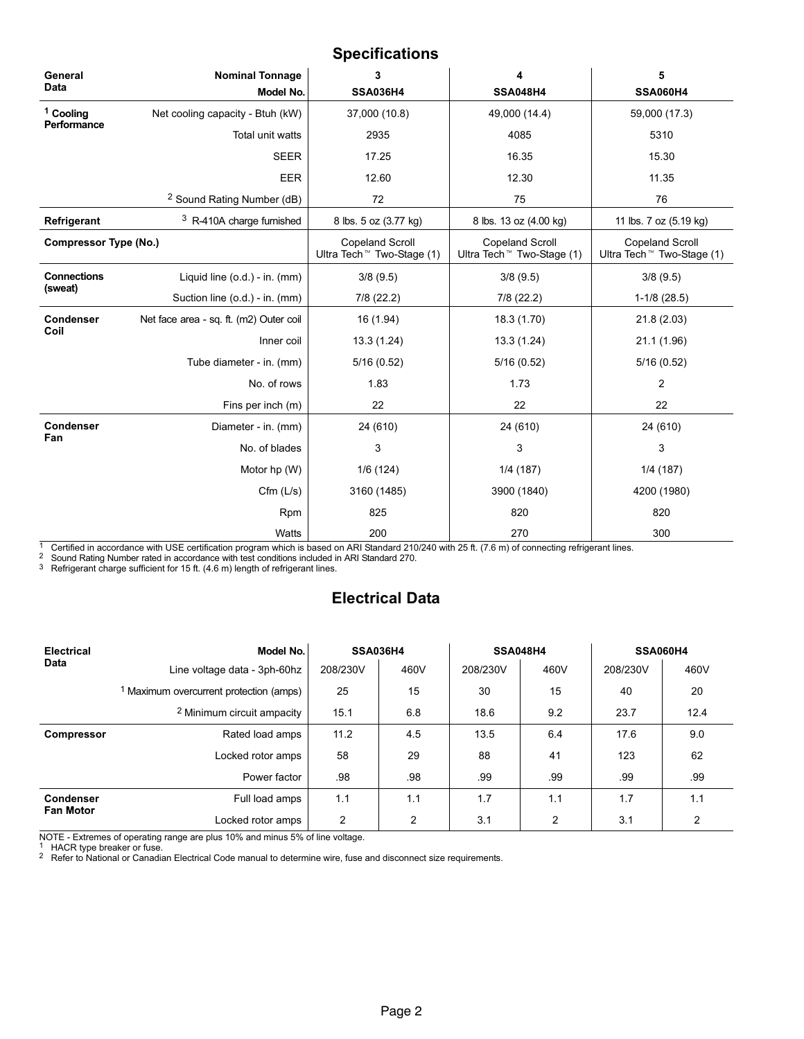### Specifications

| General<br><b>Data</b>       | <b>Nominal Tonnage</b><br>Model No.     | 3<br><b>SSA036H4</b>                                            | 4<br><b>SSA048H4</b>                                            | 5<br><b>SSA060H4</b>                                            |
|------------------------------|-----------------------------------------|-----------------------------------------------------------------|-----------------------------------------------------------------|-----------------------------------------------------------------|
| <sup>1</sup> Cooling         | Net cooling capacity - Btuh (kW)        | 37,000 (10.8)                                                   | 49,000 (14.4)                                                   | 59,000 (17.3)                                                   |
| Performance                  | Total unit watts                        | 2935                                                            | 4085                                                            | 5310                                                            |
|                              | <b>SEER</b>                             | 17.25                                                           | 16.35                                                           | 15.30                                                           |
|                              | EER                                     | 12.60                                                           | 12.30                                                           | 11.35                                                           |
|                              | <sup>2</sup> Sound Rating Number (dB)   | 72                                                              | 75                                                              | 76                                                              |
| <b>Refrigerant</b>           | <sup>3</sup> R-410A charge furnished    | 8 lbs. 5 oz (3.77 kg)                                           | 8 lbs. 13 oz (4.00 kg)                                          | 11 lbs. 7 oz (5.19 kg)                                          |
| <b>Compressor Type (No.)</b> |                                         | <b>Copeland Scroll</b><br>Ultra Tech <sup>™</sup> Two-Stage (1) | <b>Copeland Scroll</b><br>Ultra Tech <sup>™</sup> Two-Stage (1) | <b>Copeland Scroll</b><br>Ultra Tech <sup>™</sup> Two-Stage (1) |
| <b>Connections</b>           | Liquid line (o.d.) - in. (mm)           | 3/8(9.5)                                                        | 3/8(9.5)                                                        | 3/8(9.5)                                                        |
| (sweat)                      | Suction line (o.d.) - in. (mm)          | 7/8 (22.2)                                                      | $7/8$ (22.2)                                                    | $1-1/8$ (28.5)                                                  |
| <b>Condenser</b>             | Net face area - sq. ft. (m2) Outer coil | 16 (1.94)                                                       | 18.3 (1.70)                                                     | 21.8(2.03)                                                      |
| Coil                         | Inner coil                              | 13.3(1.24)                                                      | 13.3 (1.24)                                                     | 21.1 (1.96)                                                     |
|                              | Tube diameter - in. (mm)                | 5/16(0.52)                                                      | 5/16(0.52)                                                      | 5/16(0.52)                                                      |
|                              | No. of rows                             | 1.83                                                            | 1.73                                                            | 2                                                               |
|                              | Fins per inch (m)                       | 22                                                              | 22                                                              | 22                                                              |
| <b>Condenser</b>             | Diameter - in. (mm)                     | 24 (610)                                                        | 24 (610)                                                        | 24 (610)                                                        |
| Fan                          | No. of blades                           | 3                                                               | 3                                                               | 3                                                               |
|                              | Motor hp (W)                            | 1/6(124)                                                        | 1/4(187)                                                        | 1/4(187)                                                        |
|                              | $Cfm$ ( $L/s$ )                         | 3160 (1485)                                                     | 3900 (1840)                                                     | 4200 (1980)                                                     |
|                              | Rpm                                     | 825                                                             | 820                                                             | 820                                                             |
|                              | Watts                                   | 200                                                             | 270                                                             | 300                                                             |

1 Certified in accordance with USE certification program which is based on ARI Standard 210/240 with 25 ft. (7.6 m) of connecting refrigerant lines.

 $^2$  Sound Rating Number rated in accordance with test conditions included in ARI Standard 270.<br><sup>3</sup> Refrigerant charge sufficient for 15 ft. (4.6 m) length of refrigerant lines.

# Electrical Data

| Electrical        | Model No.                                          |          | <b>SSA036H4</b> |          | <b>SSA048H4</b> |          | <b>SSA060H4</b> |  |
|-------------------|----------------------------------------------------|----------|-----------------|----------|-----------------|----------|-----------------|--|
| <b>Data</b>       | Line voltage data - 3ph-60hz                       | 208/230V | 460V            | 208/230V | 460V            | 208/230V | 460V            |  |
|                   | <sup>1</sup> Maximum overcurrent protection (amps) | 25       | 15              | 30       | 15              | 40       | 20              |  |
|                   | <sup>2</sup> Minimum circuit ampacity              | 15.1     | 6.8             | 18.6     | 9.2             | 23.7     | 12.4            |  |
| <b>Compressor</b> | Rated load amps                                    | 11.2     | 4.5             | 13.5     | 6.4             | 17.6     | 9.0             |  |
|                   | Locked rotor amps                                  | 58       | 29              | 88       | 41              | 123      | 62              |  |
|                   | Power factor                                       |          | .98             | .99      | .99             | .99      | .99             |  |
| <b>Condenser</b>  | Full load amps                                     | 1.1      | 1.1             | 1.7      | 1.1             | 1.7      | 1.1             |  |
| <b>Fan Motor</b>  | Locked rotor amps                                  | 2        | $\overline{2}$  | 3.1      | 2               | 3.1      | 2               |  |

NOTE − Extremes of operating range are plus 10% and minus 5% of line voltage.

<sup>1</sup> HACR type breaker or fuse.

 $2$  Refer to National or Canadian Electrical Code manual to determine wire, fuse and disconnect size requirements.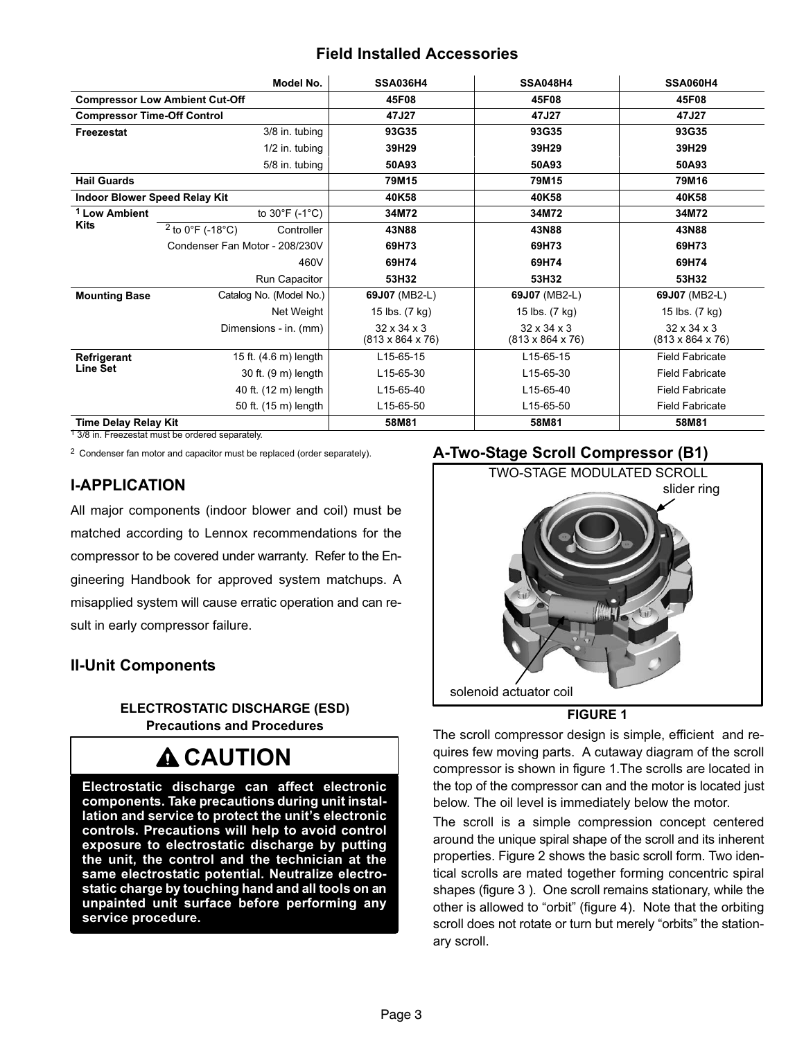# Field Installed Accessories

<span id="page-2-0"></span>

|                                      |                                       | Model No.      | <b>SSA036H4</b>                                         | <b>SSA048H4</b>                                         | <b>SSA060H4</b>                                         |
|--------------------------------------|---------------------------------------|----------------|---------------------------------------------------------|---------------------------------------------------------|---------------------------------------------------------|
|                                      | <b>Compressor Low Ambient Cut-Off</b> |                | 45F08                                                   | 45F08                                                   | 45F08                                                   |
| <b>Compressor Time-Off Control</b>   |                                       |                | 47J27                                                   | 47J27                                                   | 47J27                                                   |
| Freezestat                           |                                       | 3/8 in. tubing | 93G35                                                   | 93G35                                                   | 93G35                                                   |
|                                      |                                       | 1/2 in. tubing | 39H29                                                   | 39H29                                                   | 39H29                                                   |
|                                      |                                       | 5/8 in. tubing | 50A93                                                   | 50A93                                                   | 50A93                                                   |
| <b>Hail Guards</b>                   |                                       |                | 79M15                                                   | 79M15                                                   | 79M16                                                   |
| <b>Indoor Blower Speed Relay Kit</b> |                                       |                | 40K58                                                   | 40K58                                                   | 40K58                                                   |
| <sup>1</sup> Low Ambient             | to $30^{\circ}$ F (-1 $^{\circ}$ C)   |                | 34M72                                                   | 34M72                                                   | 34M72                                                   |
| <b>Kits</b>                          | $2$ to 0°F (-18°C)                    | Controller     | 43N88                                                   | 43N88                                                   | 43N88                                                   |
|                                      | Condenser Fan Motor - 208/230V        |                | 69H73                                                   | 69H73                                                   | 69H73                                                   |
|                                      | 460V                                  |                | 69H74                                                   | 69H74                                                   | 69H74                                                   |
|                                      | Run Capacitor                         |                | 53H32                                                   | 53H32                                                   | 53H32                                                   |
| <b>Mounting Base</b>                 | Catalog No. (Model No.)               |                | 69J07 (MB2-L)                                           | 69J07 (MB2-L)                                           | 69J07 (MB2-L)                                           |
|                                      |                                       | Net Weight     | 15 lbs. (7 kg)                                          | 15 lbs. (7 kg)                                          | 15 lbs. (7 kg)                                          |
|                                      | Dimensions - in. (mm)                 |                | $32 \times 34 \times 3$<br>$(813 \times 864 \times 76)$ | $32 \times 34 \times 3$<br>$(813 \times 864 \times 76)$ | $32 \times 34 \times 3$<br>$(813 \times 864 \times 76)$ |
| Refrigerant                          | 15 ft. (4.6 m) length                 |                | L15-65-15                                               | L15-65-15                                               | <b>Field Fabricate</b>                                  |
| <b>Line Set</b>                      | 30 ft. (9 m) length                   |                | L15-65-30                                               | L15-65-30                                               | <b>Field Fabricate</b>                                  |
|                                      | 40 ft. (12 m) length                  |                | L15-65-40                                               | L15-65-40                                               | <b>Field Fabricate</b>                                  |
|                                      | 50 ft. (15 m) length                  |                | L15-65-50                                               | L15-65-50                                               | <b>Field Fabricate</b>                                  |
| <b>Time Delay Relay Kit</b>          |                                       |                | 58M81                                                   | 58M81                                                   | 58M81                                                   |

<sup>1</sup> 3/8 in. Freezestat must be ordered separately.

2 Condenser fan motor and capacitor must be replaced (order separately).

# I−APPLICATION

All major components (indoor blower and coil) must be matched according to Lennox recommendations for the compressor to be covered under warranty. Refer to the Engineering Handbook for approved system matchups. A misapplied system will cause erratic operation and can result in early compressor failure.

# II−Unit Components

### ELECTROSTATIC DISCHARGE (ESD) Precautions and Procedures

# **A CAUTION**

Electrostatic discharge can affect electronic components. Take precautions during unit installation and service to protect the unit's electronic controls. Precautions will help to avoid control exposure to electrostatic discharge by putting the unit, the control and the technician at the same electrostatic potential. Neutralize electrostatic charge by touching hand and all tools on an unpainted unit surface before performing any service procedure.

### A−Two−Stage Scroll Compressor (B1)



#### FIGURE 1

The scroll compressor design is simple, efficient and requires few moving parts. A cutaway diagram of the scroll compressor is shown in figure 1.The scrolls are located in the top of the compressor can and the motor is located just below. The oil level is immediately below the motor.

The scroll is a simple compression concept centered around the unique spiral shape of the scroll and its inherent properties. Figure [2](#page-3-0) shows the basic scroll form. Two identical scrolls are mated together forming concentric spiral shapes (figure [3](#page-3-0) ). One scroll remains stationary, while the other is allowed to "orbit" (figure [4](#page-4-0)). Note that the orbiting scroll does not rotate or turn but merely "orbits" the stationary scroll.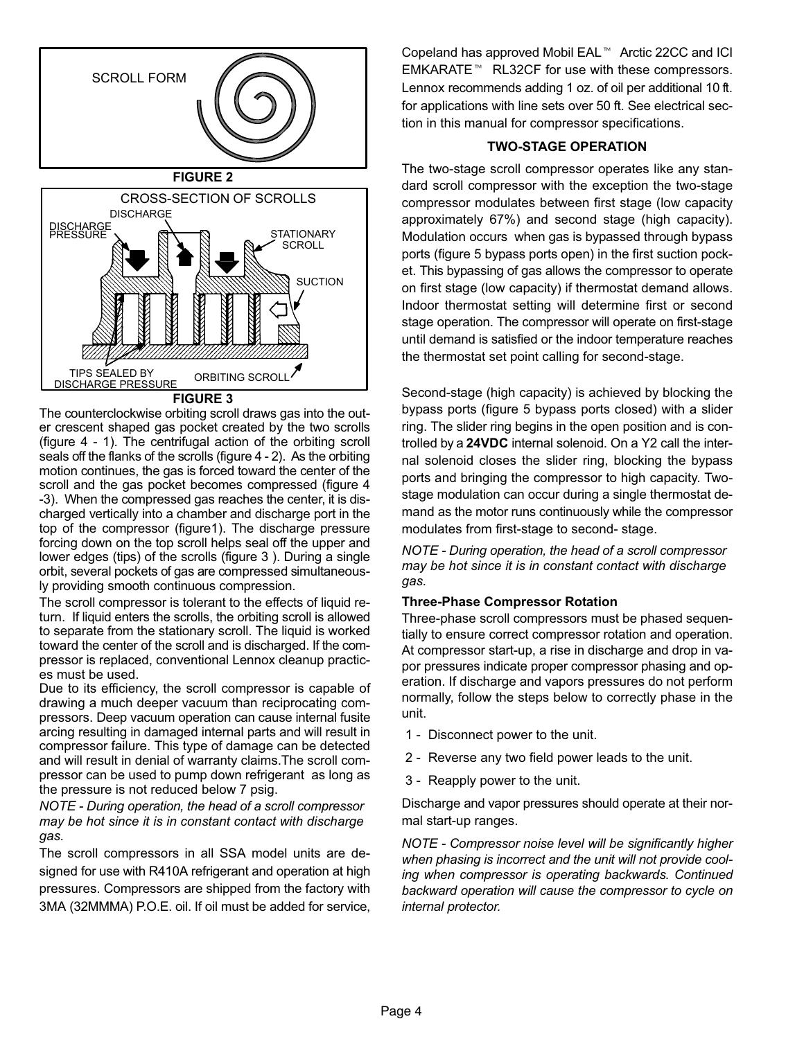<span id="page-3-0"></span>

FIGURE 3

The counterclockwise orbiting scroll draws gas into the outer crescent shaped gas pocket created by the two scrolls (figure 4 − 1). The centrifugal action of the orbiting scroll seals off the flanks of the scrolls (figure 4 - 2). As the orbiting motion continues, the gas is forced toward the center of the scroll and the gas pocket becomes compressed (figure 4 −3). When the compressed gas reaches the center, it is discharged vertically into a chamber and discharge port in the top of the compressor (figure[1](#page-2-0)). The discharge pressure forcing down on the top scroll helps seal off the upper and lower edges (tips) of the scrolls (figure 3 ). During a single orbit, several pockets of gas are compressed simultaneously providing smooth continuous compression.

The scroll compressor is tolerant to the effects of liquid return. If liquid enters the scrolls, the orbiting scroll is allowed to separate from the stationary scroll. The liquid is worked toward the center of the scroll and is discharged. If the compressor is replaced, conventional Lennox cleanup practices must be used.

Due to its efficiency, the scroll compressor is capable of drawing a much deeper vacuum than reciprocating compressors. Deep vacuum operation can cause internal fusite arcing resulting in damaged internal parts and will result in compressor failure. This type of damage can be detected and will result in denial of warranty claims.The scroll compressor can be used to pump down refrigerant as long as the pressure is not reduced below 7 psig.

NOTE − During operation, the head of a scroll compressor may be hot since it is in constant contact with discharge gas.

The scroll compressors in all SSA model units are designed for use with R410A refrigerant and operation at high pressures. Compressors are shipped from the factory with 3MA (32MMMA) P.O.E. oil. If oil must be added for service, Copeland has approved Mobil EAL<sup>™</sup> Arctic 22CC and ICI EMKARATE<sup>™</sup> RL32CF for use with these compressors. Lennox recommends adding 1 oz. of oil per additional 10 ft. for applications with line sets over 50 ft. See electrical section in this manual for compressor specifications.

#### TWO−STAGE OPERATION

The two−stage scroll compressor operates like any standard scroll compressor with the exception the two−stage compressor modulates between first stage (low capacity approximately 67%) and second stage (high capacity). Modulation occurs when gas is bypassed through bypass ports (figure [5](#page-4-0) bypass ports open) in the first suction pocket. This bypassing of gas allows the compressor to operate on first stage (low capacity) if thermostat demand allows. Indoor thermostat setting will determine first or second stage operation. The compressor will operate on first−stage until demand is satisfied or the indoor temperature reaches the thermostat set point calling for second−stage.

Second−stage (high capacity) is achieved by blocking the bypass ports (figure [5](#page-4-0) bypass ports closed) with a slider ring. The slider ring begins in the open position and is controlled by a 24VDC internal solenoid. On a Y2 call the internal solenoid closes the slider ring, blocking the bypass ports and bringing the compressor to high capacity. Two− stage modulation can occur during a single thermostat demand as the motor runs continuously while the compressor modulates from first−stage to second− stage.

NOTE − During operation, the head of a scroll compressor may be hot since it is in constant contact with discharge gas.

#### Three−Phase Compressor Rotation

Three−phase scroll compressors must be phased sequentially to ensure correct compressor rotation and operation. At compressor start−up, a rise in discharge and drop in vapor pressures indicate proper compressor phasing and operation. If discharge and vapors pressures do not perform normally, follow the steps below to correctly phase in the unit.

- 1 Disconnect power to the unit.
- 2 Reverse any two field power leads to the unit.
- 3 − Reapply power to the unit.

Discharge and vapor pressures should operate at their normal start−up ranges.

NOTE − Compressor noise level will be significantly higher when phasing is incorrect and the unit will not provide cooling when compressor is operating backwards. Continued backward operation will cause the compressor to cycle on internal protector.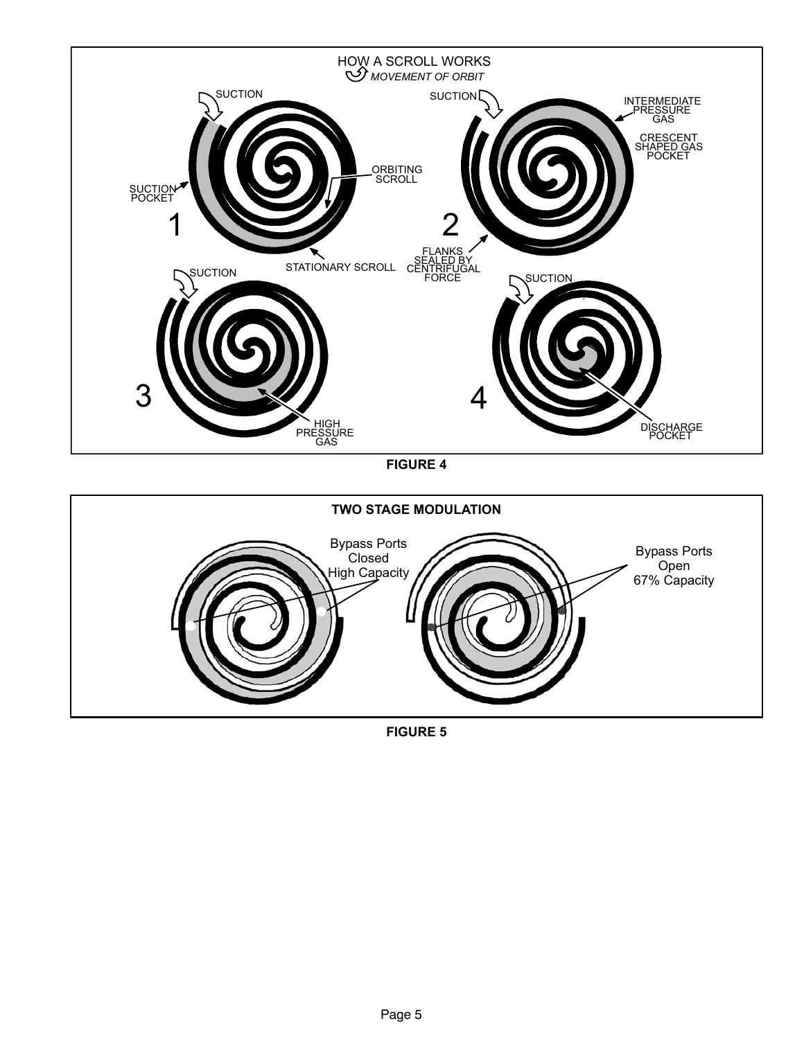<span id="page-4-0"></span>

FIGURE 4



FIGURE 5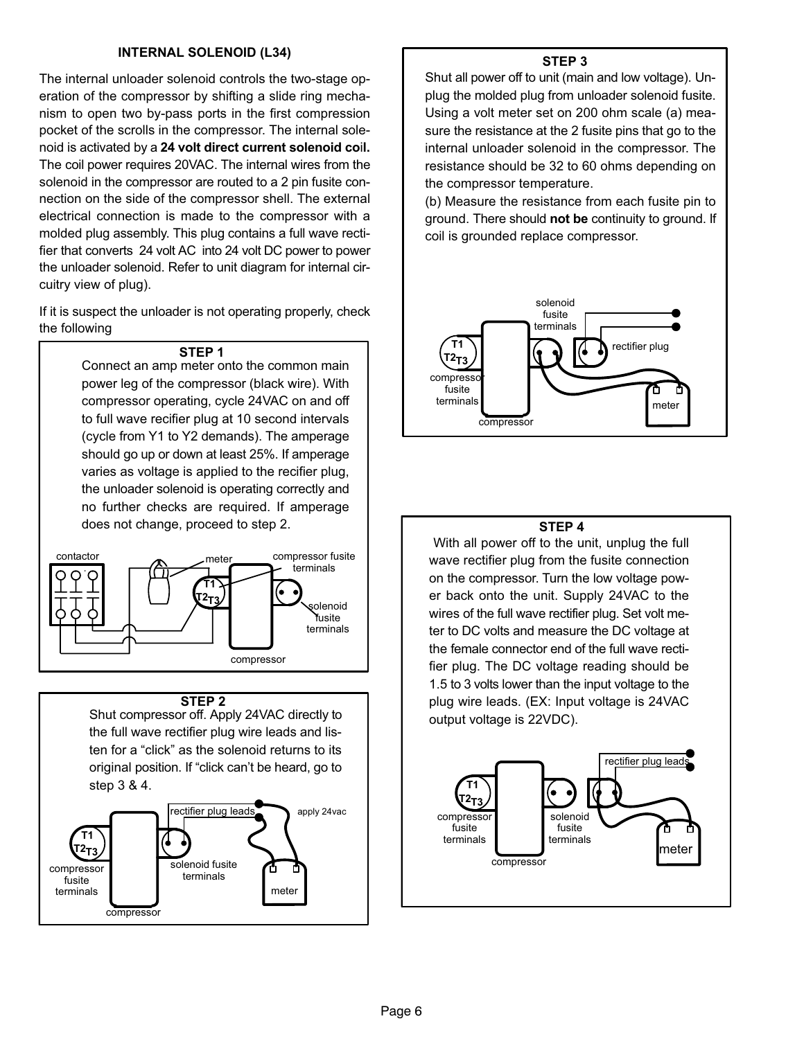#### INTERNAL SOLENOID (L34)

The internal unloader solenoid controls the two−stage operation of the compressor by shifting a slide ring mechanism to open two by−pass ports in the first compression pocket of the scrolls in the compressor. The internal solenoid is activated by a 24 volt direct current solenoid coil. The coil power requires 20VAC. The internal wires from the solenoid in the compressor are routed to a 2 pin fusite connection on the side of the compressor shell. The external electrical connection is made to the compressor with a molded plug assembly. This plug contains a full wave rectifier that converts 24 volt AC into 24 volt DC power to power the unloader solenoid. Refer to unit diagram for internal circuitry view of plug).

If it is suspect the unloader is not operating properly, check the following

#### STEP 1

 Connect an amp meter onto the common main power leg of the compressor (black wire). With compressor operating, cycle 24VAC on and off to full wave recifier plug at 10 second intervals (cycle from Y1 to Y2 demands). The amperage should go up or down at least 25%. If amperage varies as voltage is applied to the recifier plug, the unloader solenoid is operating correctly and no further checks are required. If amperage does not change, proceed to step 2.



#### STEP<sub>2</sub>

Shut compressor off. Apply 24VAC directly to the full wave rectifier plug wire leads and listen for a "click" as the solenoid returns to its original position. If "click can't be heard, go to step 3 & 4.



#### STEP 3

Shut all power off to unit (main and low voltage). Unplug the molded plug from unloader solenoid fusite. Using a volt meter set on 200 ohm scale (a) measure the resistance at the 2 fusite pins that go to the internal unloader solenoid in the compressor. The resistance should be 32 to 60 ohms depending on the compressor temperature.

(b) Measure the resistance from each fusite pin to ground. There should not be continuity to ground. If coil is grounded replace compressor.



#### STEP 4

 With all power off to the unit, unplug the full wave rectifier plug from the fusite connection on the compressor. Turn the low voltage power back onto the unit. Supply 24VAC to the wires of the full wave rectifier plug. Set volt meter to DC volts and measure the DC voltage at the female connector end of the full wave rectifier plug. The DC voltage reading should be 1.5 to 3 volts lower than the input voltage to the plug wire leads. (EX: Input voltage is 24VAC output voltage is 22VDC).

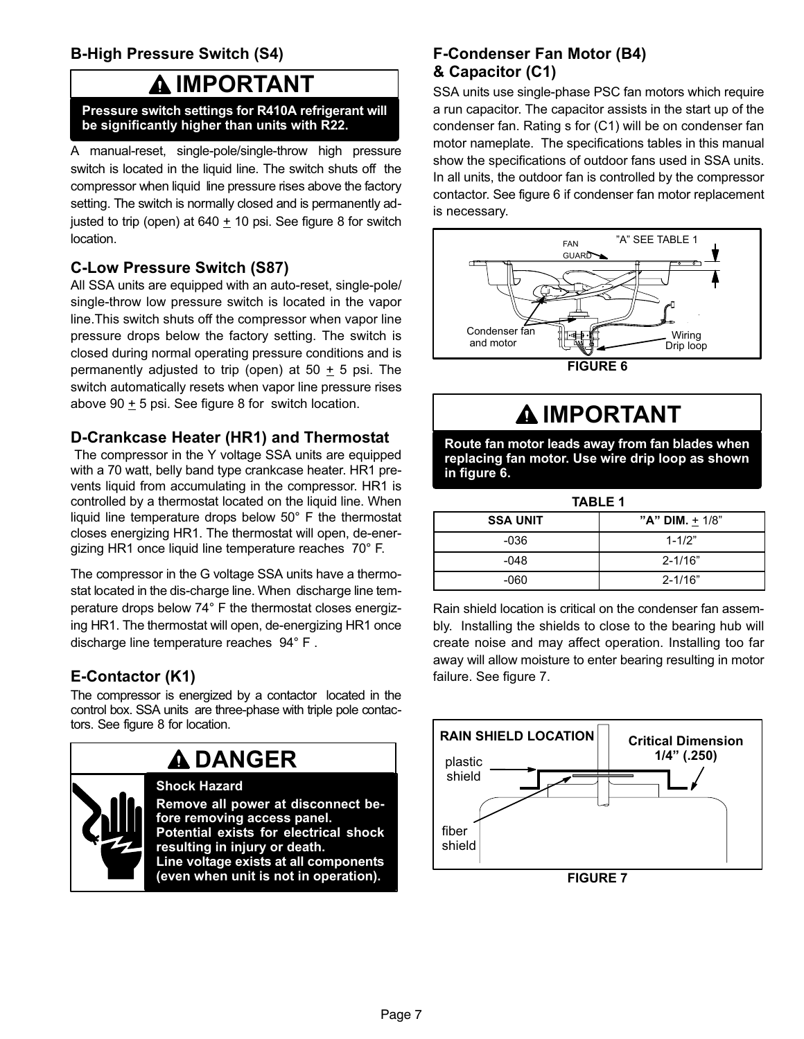# B−High Pressure Switch (S4)

# IMPORTANT

#### Pressure switch settings for R410A refrigerant will be significantly higher than units with R22.

A manual-reset, single-pole/single-throw high pressure switch is located in the liquid line. The switch shuts off the compressor when liquid line pressure rises above the factory setting. The switch is normally closed and is permanently adjusted to trip (open) at  $640 + 10$  psi. See figure [8](#page-7-0) for switch location.

### C−Low Pressure Switch (S87)

All SSA units are equipped with an auto-reset, single-pole/ single-throw low pressure switch is located in the vapor line.This switch shuts off the compressor when vapor line pressure drops below the factory setting. The switch is closed during normal operating pressure conditions and is permanently adjusted to trip (open) at  $50 + 5$  psi. The switch automatically resets when vapor line pressure rises above 90  $\pm$  5 psi. See figure [8](#page-7-0) for switch location.

### D−Crankcase Heater (HR1) and Thermostat

 The compressor in the Y voltage SSA units are equipped with a 70 watt, belly band type crankcase heater. HR1 prevents liquid from accumulating in the compressor. HR1 is controlled by a thermostat located on the liquid line. When liquid line temperature drops below 50° F the thermostat closes energizing HR1. The thermostat will open, de−energizing HR1 once liquid line temperature reaches 70° F.

The compressor in the G voltage SSA units have a thermostat located in the dis−charge line. When discharge line temperature drops below 74° F the thermostat closes energizing HR1. The thermostat will open, de−energizing HR1 once discharge line temperature reaches 94° F .

# E−Contactor (K1)

The compressor is energized by a contactor located in the control box. SSA units are three−phase with triple pole contactors. See figure [8](#page-7-0) for location.



# **A DANGER**

### Shock Hazard

Remove all power at disconnect before removing access panel. Potential exists for electrical shock resulting in injury or death. Line voltage exists at all components (even when unit is not in operation).

### F−Condenser Fan Motor (B4) & Capacitor (C1)

SSA units use single−phase PSC fan motors which require a run capacitor. The capacitor assists in the start up of the condenser fan. Rating s for (C1) will be on condenser fan motor nameplate. The specifications tables in this manual show the specifications of outdoor fans used in SSA units. In all units, the outdoor fan is controlled by the compressor contactor. See figure 6 if condenser fan motor replacement is necessary.



# IMPORTANT

Route fan motor leads away from fan blades when replacing fan motor. Use wire drip loop as shown in figure 6.

| <b>TABLE 1</b>  |                   |  |  |
|-----------------|-------------------|--|--|
| <b>SSA UNIT</b> | "A" DIM. $+$ 1/8" |  |  |
| -036            | $1 - 1/2"$        |  |  |
| -048            | $2 - 1/16"$       |  |  |
| -060            | $2 - 1/16"$       |  |  |

Rain shield location is critical on the condenser fan assembly. Installing the shields to close to the bearing hub will create noise and may affect operation. Installing too far away will allow moisture to enter bearing resulting in motor failure. See figure 7.



FIGURE 7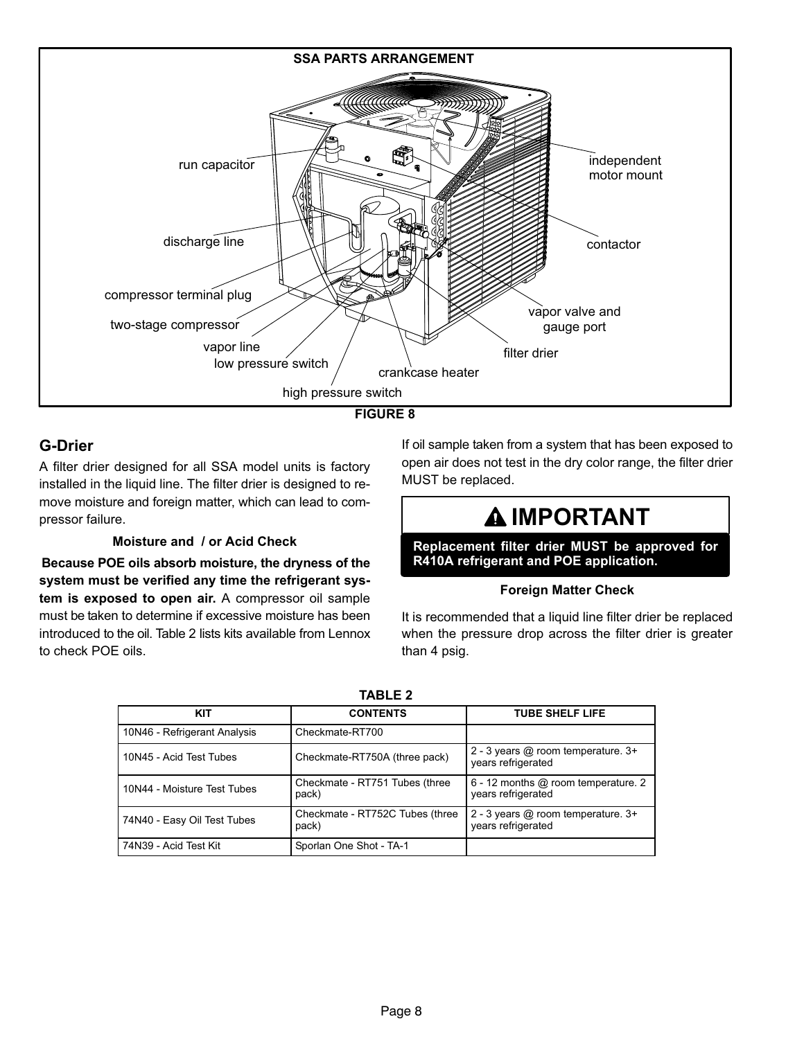<span id="page-7-0"></span>

FIGURE 8

# G−Drier

A filter drier designed for all SSA model units is factory installed in the liquid line. The filter drier is designed to remove moisture and foreign matter, which can lead to compressor failure.

#### Moisture and / or Acid Check

Because POE oils absorb moisture, the dryness of the system must be verified any time the refrigerant system is exposed to open air. A compressor oil sample must be taken to determine if excessive moisture has been introduced to the oil. Table 2 lists kits available from Lennox to check POE oils.

If oil sample taken from a system that has been exposed to open air does not test in the dry color range, the filter drier MUST be replaced.

# **A IMPORTANT**

Replacement filter drier MUST be approved for R410A refrigerant and POE application.

#### Foreign Matter Check

It is recommended that a liquid line filter drier be replaced when the pressure drop across the filter drier is greater than 4 psig.

| KIT                          | <b>CONTENTS</b>                          | <b>TUBE SHELF LIFE</b>                                        |  |  |  |  |
|------------------------------|------------------------------------------|---------------------------------------------------------------|--|--|--|--|
| 10N46 - Refrigerant Analysis | Checkmate-RT700                          |                                                               |  |  |  |  |
| 10N45 - Acid Test Tubes      | Checkmate-RT750A (three pack)            | 2 - 3 years @ room temperature. 3+<br>years refrigerated      |  |  |  |  |
| 10N44 - Moisture Test Tubes  | Checkmate - RT751 Tubes (three<br>pack)  | $6 - 12$ months $@$ room temperature. 2<br>years refrigerated |  |  |  |  |
| 74N40 - Easy Oil Test Tubes  | Checkmate - RT752C Tubes (three<br>pack) | 2 - 3 years $@$ room temperature. $3+$<br>years refrigerated  |  |  |  |  |
| 74N39 - Acid Test Kit        | Sporlan One Shot - TA-1                  |                                                               |  |  |  |  |

TARI F 2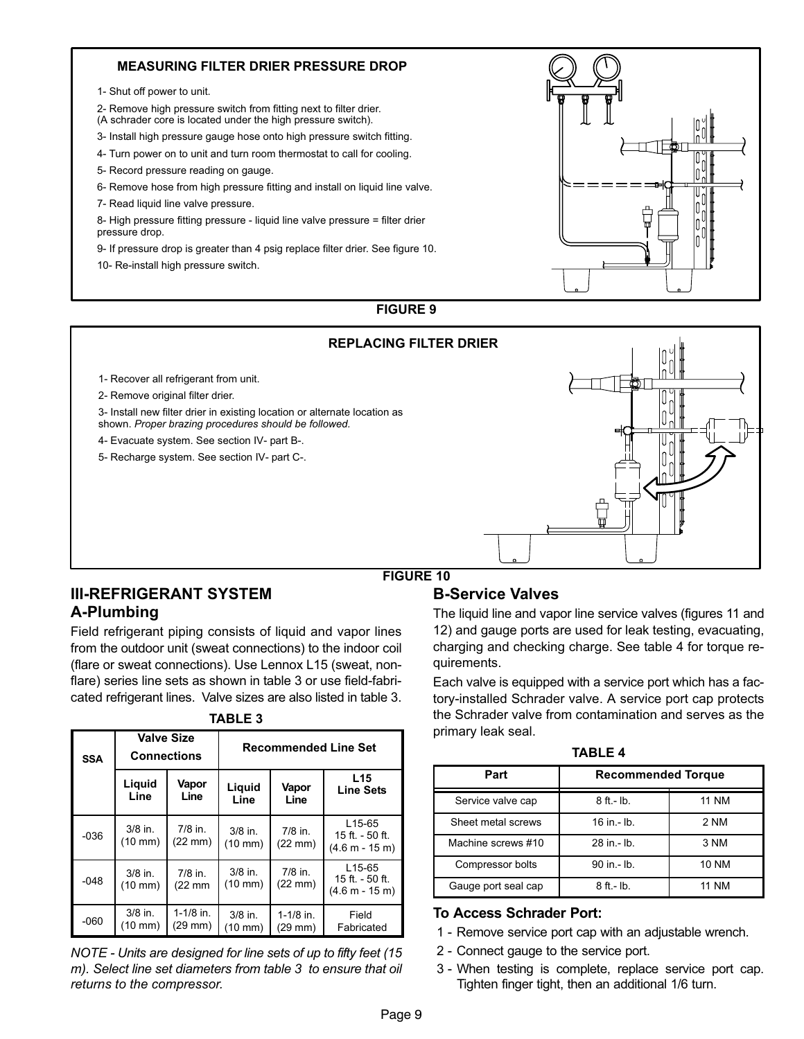#### MEASURING FILTER DRIER PRESSURE DROP

1− Shut off power to unit.

2− Remove high pressure switch from fitting next to filter drier. (A schrader core is located under the high pressure switch).

3− Install high pressure gauge hose onto high pressure switch fitting.

4− Turn power on to unit and turn room thermostat to call for cooling.

5− Record pressure reading on gauge.

6− Remove hose from high pressure fitting and install on liquid line valve.

7− Read liquid line valve pressure.

8− High pressure fitting pressure − liquid line valve pressure = filter drier pressure drop.

9- If pressure drop is greater than 4 psig replace filter drier. See figure 10.

10− Re−install high pressure switch.



### FIGURE 9

#### REPLACING FILTER DRIER

1− Recover all refrigerant from unit.

2− Remove original filter drier.

3− Install new filter drier in existing location or alternate location as shown. Proper brazing procedures should be followed.

4− Evacuate system. See section [IV−](#page-9-0) part [B−.](#page-10-0)

5− Recharge system. See section [IV−](#page-9-0) part [C−](#page-11-0).



#### FIGURE 10

### III−REFRIGERANT SYSTEM A−Plumbing

Field refrigerant piping consists of liquid and vapor lines from the outdoor unit (sweat connections) to the indoor coil (flare or sweat connections). Use Lennox L15 (sweat, nonflare) series line sets as shown in table 3 or use field-fabricated refrigerant lines. Valve sizes are also listed in table 3.

| <b>SSA</b> |                                | <b>Valve Size</b><br><b>Recommended Line Set</b><br><b>Connections</b> |                                |                                  |                                                  |
|------------|--------------------------------|------------------------------------------------------------------------|--------------------------------|----------------------------------|--------------------------------------------------|
|            | Liquid<br>Line                 | Vapor<br>Line                                                          | Liquid<br>Line                 | Vapor<br>Line                    | L <sub>15</sub><br><b>Line Sets</b>              |
| $-036$     | $3/8$ in.<br>$(10 \text{ mm})$ | $7/8$ in.<br>(22 mm)                                                   | $3/8$ in.<br>$(10 \text{ mm})$ | $7/8$ in.<br>$(22 \text{ mm})$   | $L$ 15-65<br>15 ft. - 50 ft.<br>$(4.6 m - 15 m)$ |
| $-048$     | $3/8$ in.<br>$(10 \text{ mm})$ | $7/8$ in.<br>$(22 \text{ mm})$                                         | $3/8$ in.<br>$(10 \text{ mm})$ | $7/8$ in.<br>$(22 \text{ mm})$   | $L$ 15-65<br>15 ft. - 50 ft.<br>$(4.6 m - 15 m)$ |
| $-060$     | $3/8$ in.<br>(10 mm)           | $1-1/8$ in.<br>(29 mm)                                                 | $3/8$ in.<br>(10 mm)           | $1-1/8$ in.<br>$(29 \text{ mm})$ | Field<br>Fabricated                              |

#### TABLE 3

NOTE − Units are designed for line sets of up to fifty feet (15 m). Select line set diameters from table 3 to ensure that oil returns to the compressor.

#### B−Service Valves

The liquid line and vapor line service valves (figures [11](#page-9-0) and [12](#page-9-0)) and gauge ports are used for leak testing, evacuating, charging and checking charge. See table 4 for torque requirements.

Each valve is equipped with a service port which has a factory−installed Schrader valve. A service port cap protects the Schrader valve from contamination and serves as the primary leak seal.

TABLE 4

| Part                | <b>Recommended Torque</b> |              |  |  |
|---------------------|---------------------------|--------------|--|--|
| Service valve cap   | $8$ ft.- $lb$ .           | <b>11 NM</b> |  |  |
| Sheet metal screws  | $16$ in $-$ lb.           | 2 NM         |  |  |
| Machine screws #10  | 28 in - lb.               | 3 NM         |  |  |
| Compressor bolts    | 90 in - lb.               | 10 NM        |  |  |
| Gauge port seal cap | $8$ ft.- $lb$ .           | <b>11 NM</b> |  |  |

#### To Access Schrader Port:

- 1 − Remove service port cap with an adjustable wrench.
- 2 Connect gauge to the service port.
- 3 − When testing is complete, replace service port cap. Tighten finger tight, then an additional 1/6 turn.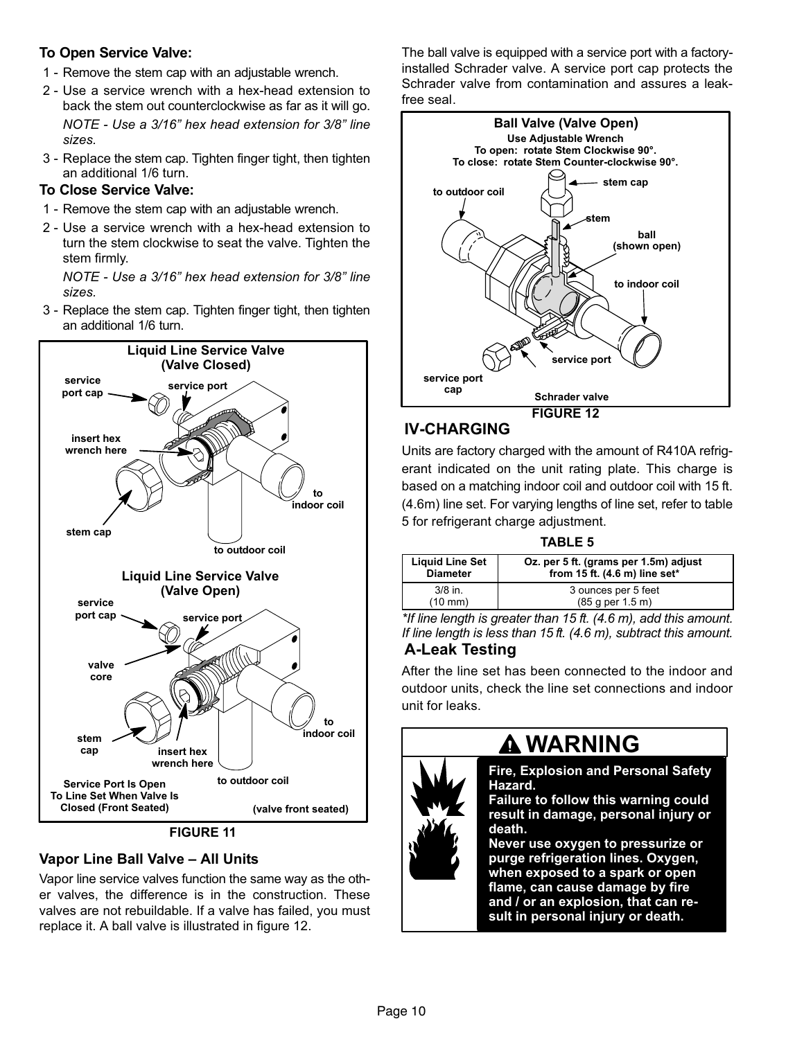### <span id="page-9-0"></span>To Open Service Valve:

- 1 − Remove the stem cap with an adjustable wrench.
- 2 − Use a service wrench with a hex−head extension to back the stem out counterclockwise as far as it will go. NOTE − Use a 3/16" hex head extension for 3/8" line sizes.
- 3 − Replace the stem cap. Tighten finger tight, then tighten an additional 1/6 turn.

# To Close Service Valve:

- 1 Remove the stem cap with an adjustable wrench.
- 2 − Use a service wrench with a hex−head extension to turn the stem clockwise to seat the valve. Tighten the stem firmly.

NOTE − Use a 3/16" hex head extension for 3/8" line sizes.

 3 − Replace the stem cap. Tighten finger tight, then tighten an additional 1/6 turn.



FIGURE 11

# Vapor Line Ball Valve – All Units

Vapor line service valves function the same way as the other valves, the difference is in the construction. These valves are not rebuildable. If a valve has failed, you must replace it. A ball valve is illustrated in figure 12.

The ball valve is equipped with a service port with a factory− installed Schrader valve. A service port cap protects the Schrader valve from contamination and assures a leak− free seal.



# IV−CHARGING

Units are factory charged with the amount of R410A refrigerant indicated on the unit rating plate. This charge is based on a matching indoor coil and outdoor coil with 15 ft. (4.6m) line set. For varying lengths of line set, refer to table 5 for refrigerant charge adjustment.

### TABLE 5

| <b>Liquid Line Set</b> | Oz. per 5 ft. (grams per 1.5m) adjust |
|------------------------|---------------------------------------|
| <b>Diameter</b>        | from $15$ ft. (4.6 m) line set*       |
| $3/8$ in.              | 3 ounces per 5 feet                   |
| $(10 \text{ mm})$      | (85 g per 1.5 m)                      |

\*If line length is greater than 15 ft. (4.6 m), add this amount. If line length is less than 15 ft. (4.6 m), subtract this amount. A−Leak Testing

After the line set has been connected to the indoor and outdoor units, check the line set connections and indoor unit for leaks.

# **A WARNING**



Fire, Explosion and Personal Safety Hazard.

Failure to follow this warning could result in damage, personal injury or death.

Never use oxygen to pressurize or purge refrigeration lines. Oxygen, when exposed to a spark or open flame, can cause damage by fire and / or an explosion, that can result in personal injury or death.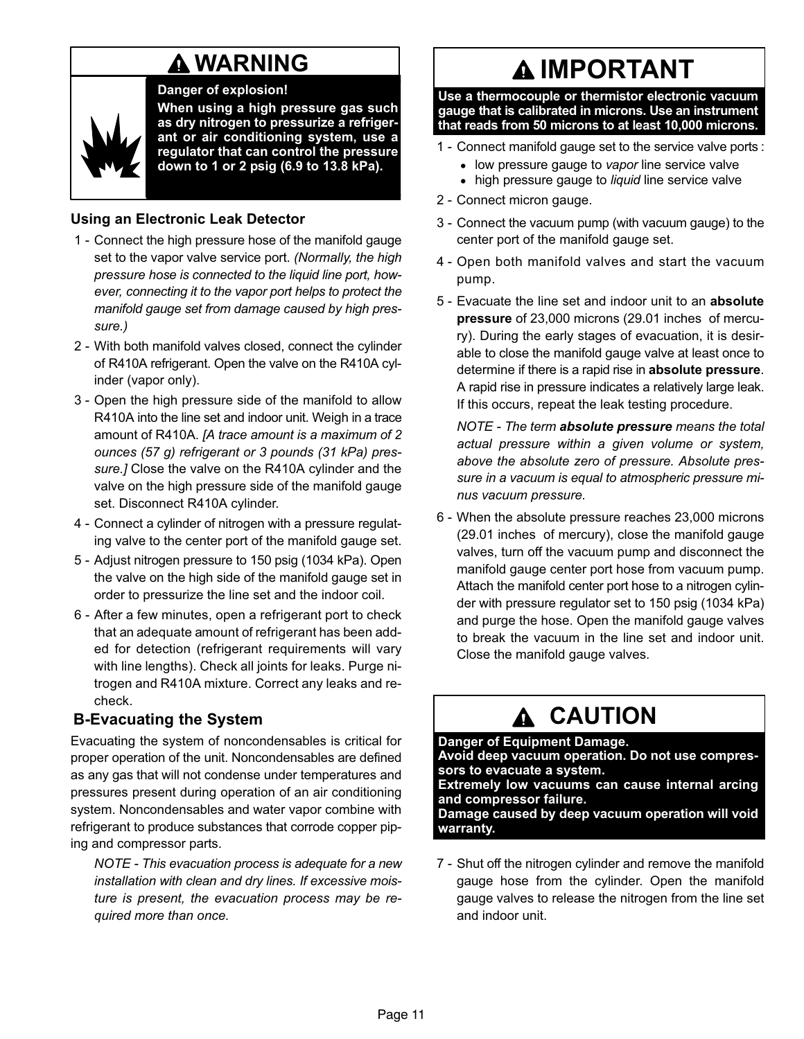# **A WARNING**

Danger of explosion!

<span id="page-10-0"></span>

When using a high pressure gas such as dry nitrogen to pressurize a refrigerant or air conditioning system, use a regulator that can control the pressure down to 1 or 2 psig (6.9 to 13.8 kPa).

### Using an Electronic Leak Detector

- 1 Connect the high pressure hose of the manifold gauge set to the vapor valve service port. (Normally, the high pressure hose is connected to the liquid line port, however, connecting it to the vapor port helps to protect the manifold gauge set from damage caused by high pressure.)
- 2 − With both manifold valves closed, connect the cylinder of R410A refrigerant. Open the valve on the R410A cylinder (vapor only).
- 3 − Open the high pressure side of the manifold to allow R410A into the line set and indoor unit. Weigh in a trace amount of R410A. [A trace amount is a maximum of 2 ounces (57 g) refrigerant or 3 pounds (31 kPa) pressure.] Close the valve on the R410A cylinder and the valve on the high pressure side of the manifold gauge set. Disconnect R410A cylinder.
- 4 − Connect a cylinder of nitrogen with a pressure regulating valve to the center port of the manifold gauge set.
- 5 − Adjust nitrogen pressure to 150 psig (1034 kPa). Open the valve on the high side of the manifold gauge set in order to pressurize the line set and the indoor coil.
- 6 − After a few minutes, open a refrigerant port to check that an adequate amount of refrigerant has been added for detection (refrigerant requirements will vary with line lengths). Check all joints for leaks. Purge nitrogen and R410A mixture. Correct any leaks and recheck.

# B−Evacuating the System

Evacuating the system of noncondensables is critical for proper operation of the unit. Noncondensables are defined as any gas that will not condense under temperatures and pressures present during operation of an air conditioning system. Noncondensables and water vapor combine with refrigerant to produce substances that corrode copper piping and compressor parts.

NOTE − This evacuation process is adequate for a new installation with clean and dry lines. If excessive moisture is present, the evacuation process may be required more than once.

# **AIMPORTANT**

Use a thermocouple or thermistor electronic vacuum gauge that is calibrated in microns. Use an instrument that reads from 50 microns to at least 10,000 microns.

- 1 Connect manifold gauge set to the service valve ports :
	- low pressure gauge to vapor line service valve
	- high pressure gauge to liquid line service valve
- 2 − Connect micron gauge.
- 3 − Connect the vacuum pump (with vacuum gauge) to the center port of the manifold gauge set.
- 4 − Open both manifold valves and start the vacuum pump.
- 5 Evacuate the line set and indoor unit to an **absolute** pressure of 23,000 microns (29.01 inches of mercury). During the early stages of evacuation, it is desirable to close the manifold gauge valve at least once to determine if there is a rapid rise in absolute pressure. A rapid rise in pressure indicates a relatively large leak. If this occurs, repeat the leak testing procedure.

NOTE - The term absolute pressure means the total actual pressure within a given volume or system, above the absolute zero of pressure. Absolute pressure in a vacuum is equal to atmospheric pressure minus vacuum pressure.

 6 − When the absolute pressure reaches 23,000 microns (29.01 inches of mercury), close the manifold gauge valves, turn off the vacuum pump and disconnect the manifold gauge center port hose from vacuum pump. Attach the manifold center port hose to a nitrogen cylinder with pressure regulator set to 150 psig (1034 kPa) and purge the hose. Open the manifold gauge valves to break the vacuum in the line set and indoor unit. Close the manifold gauge valves.

# **A CAUTION**

Danger of Equipment Damage. Avoid deep vacuum operation. Do not use compressors to evacuate a system. Extremely low vacuums can cause internal arcing and compressor failure. Damage caused by deep vacuum operation will void warranty.

7 - Shut off the nitrogen cylinder and remove the manifold gauge hose from the cylinder. Open the manifold gauge valves to release the nitrogen from the line set and indoor unit.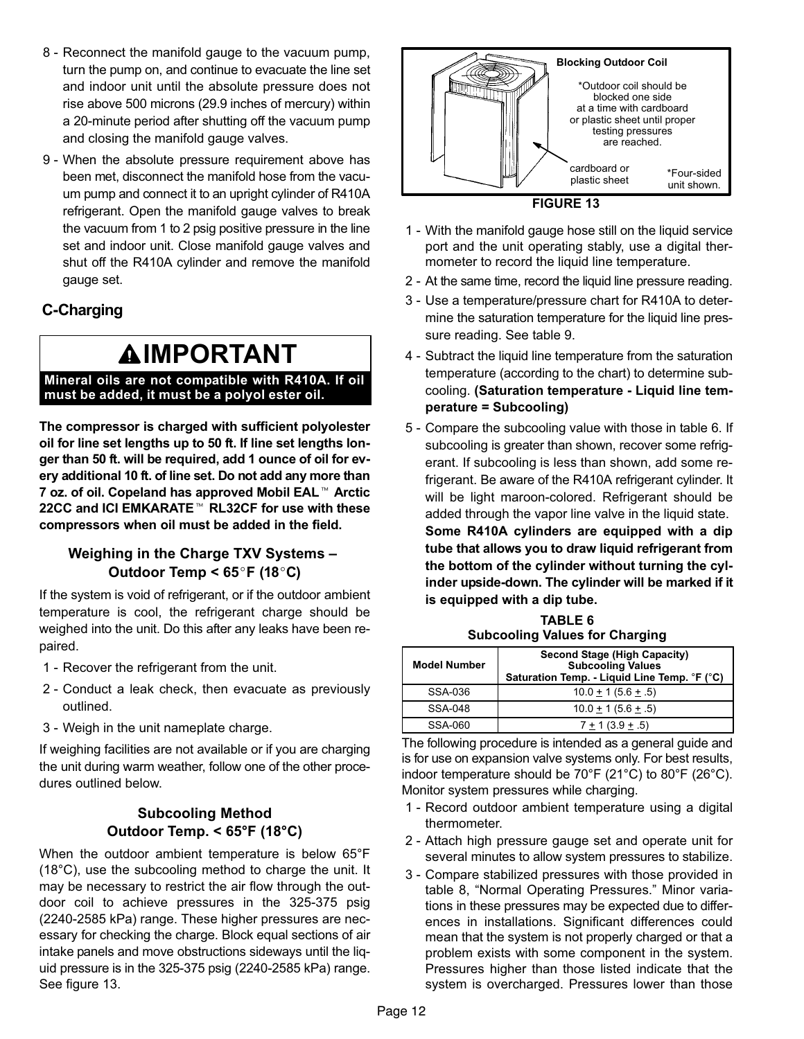- <span id="page-11-0"></span>8 - Reconnect the manifold gauge to the vacuum pump, turn the pump on, and continue to evacuate the line set and indoor unit until the absolute pressure does not rise above 500 microns (29.9 inches of mercury) within a 20−minute period after shutting off the vacuum pump and closing the manifold gauge valves.
- 9 When the absolute pressure requirement above has been met, disconnect the manifold hose from the vacuum pump and connect it to an upright cylinder of R410A refrigerant. Open the manifold gauge valves to break the vacuum from 1 to 2 psig positive pressure in the line set and indoor unit. Close manifold gauge valves and shut off the R410A cylinder and remove the manifold gauge set.

# C−Charging

# **AIMPORTANT**

#### Mineral oils are not compatible with R410A. If oil must be added, it must be a polyol ester oil.

The compressor is charged with sufficient polyolester oil for line set lengths up to 50 ft. If line set lengths longer than 50 ft. will be required, add 1 ounce of oil for evger man 50 it. will be required, add 1 odnce of oil for every additional 10 ft. of line set. Do not add any more than<br>7 oz. of oil. Copeland has approved Mobil EAL™ Arctic 7 oz. of oil. Copeland has approved Mobil EAL<sup>™</sup> Arctic 22CC and ICI EMKARATE<sup>™</sup> RL32CF for use with these compressors when oil must be added in the field.

### Weighing in the Charge TXV Systems – Outdoor Temp <  $65^{\circ}$ F (18 $^{\circ}$ C)

If the system is void of refrigerant, or if the outdoor ambient temperature is cool, the refrigerant charge should be weighed into the unit. Do this after any leaks have been repaired.

- 1 Recover the refrigerant from the unit.
- 2 − Conduct a leak check, then evacuate as previously outlined.
- 3 − Weigh in the unit nameplate charge.

If weighing facilities are not available or if you are charging the unit during warm weather, follow one of the other procedures outlined below.

### Subcooling Method Outdoor Temp. < 65°F (18°C)

When the outdoor ambient temperature is below 65°F (18°C), use the subcooling method to charge the unit. It may be necessary to restrict the air flow through the outdoor coil to achieve pressures in the 325−375 psig (2240−2585 kPa) range. These higher pressures are necessary for checking the charge. Block equal sections of air intake panels and move obstructions sideways until the liquid pressure is in the 325−375 psig (2240−2585 kPa) range. See figure 13.





- 1 − With the manifold gauge hose still on the liquid service port and the unit operating stably, use a digital thermometer to record the liquid line temperature.
- 2 At the same time, record the liquid line pressure reading.
- 3 − Use a temperature/pressure chart for R410A to determine the saturation temperature for the liquid line pressure reading. See table [9.](#page-13-0)
- 4 − Subtract the liquid line temperature from the saturation temperature (according to the chart) to determine subcooling. (Saturation temperature − Liquid line temperature = Subcooling)
- 5 Compare the subcooling value with those in table 6. If subcooling is greater than shown, recover some refrigerant. If subcooling is less than shown, add some refrigerant. Be aware of the R410A refrigerant cylinder. It will be light maroon−colored. Refrigerant should be added through the vapor line valve in the liquid state. Some R410A cylinders are equipped with a dip tube that allows you to draw liquid refrigerant from the bottom of the cylinder without turning the cylinder upside−down. The cylinder will be marked if it is equipped with a dip tube.

TABLE 6 Subcooling Values for Charging

| <b>Model Number</b> | <b>Second Stage (High Capacity)</b><br><b>Subcooling Values</b><br>Saturation Temp. - Liquid Line Temp. °F (°C) |
|---------------------|-----------------------------------------------------------------------------------------------------------------|
| SSA-036             | $10.0 \pm 1 (5.6 \pm .5)$                                                                                       |
| SSA-048             | $10.0 + 1(5.6 + .5)$                                                                                            |
| SSA-060             | $7 + 1(3.9 + .5)$                                                                                               |

The following procedure is intended as a general guide and is for use on expansion valve systems only. For best results, indoor temperature should be 70°F (21°C) to 80°F (26°C). Monitor system pressures while charging.

- 1 − Record outdoor ambient temperature using a digital thermometer.
- 2 − Attach high pressure gauge set and operate unit for several minutes to allow system pressures to stabilize.
- 3 − Compare stabilized pressures with those provided in table [8](#page-12-0), "Normal Operating Pressures." Minor variations in these pressures may be expected due to differences in installations. Significant differences could mean that the system is not properly charged or that a problem exists with some component in the system. Pressures higher than those listed indicate that the system is overcharged. Pressures lower than those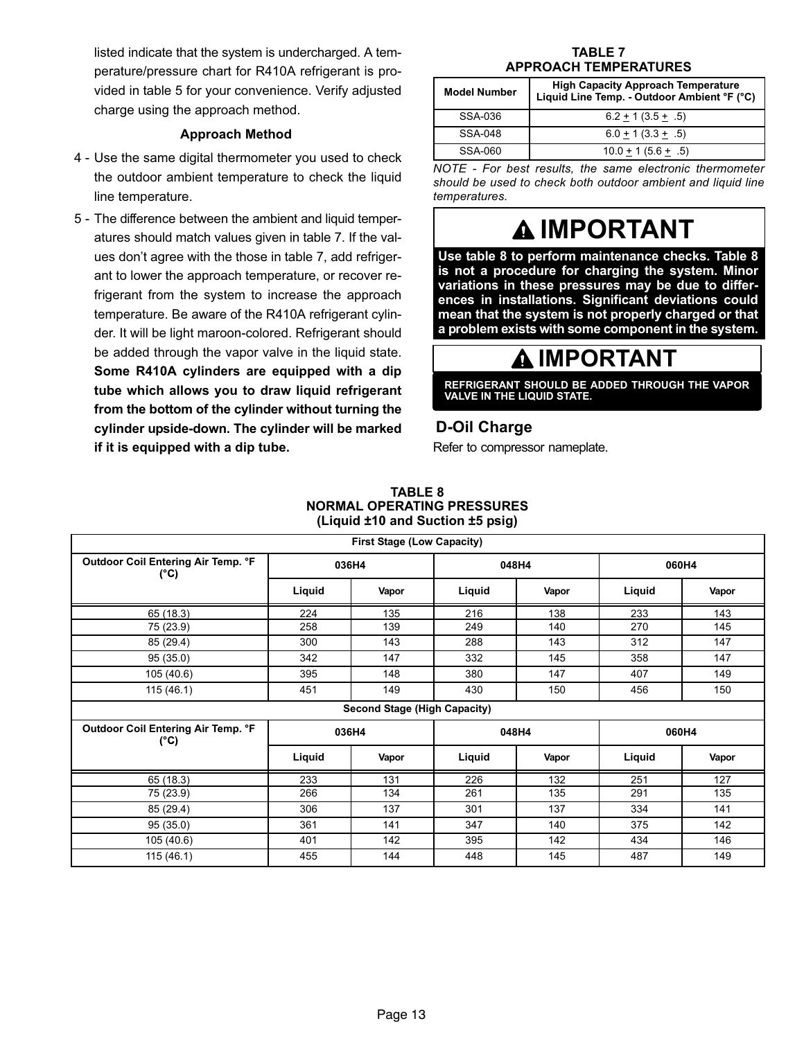<span id="page-12-0"></span>listed indicate that the system is undercharged. A temperature/pressure chart for R410A refrigerant is provided in table 5 for your convenience. Verify adjusted charge using the approach method.

#### Approach Method

- 4 − Use the same digital thermometer you used to check the outdoor ambient temperature to check the liquid line temperature.
- 5 − The difference between the ambient and liquid temperatures should match values given in table 7. If the values don't agree with the those in table 7, add refrigerant to lower the approach temperature, or recover refrigerant from the system to increase the approach temperature. Be aware of the R410A refrigerant cylinder. It will be light maroon−colored. Refrigerant should be added through the vapor valve in the liquid state. Some R410A cylinders are equipped with a dip tube which allows you to draw liquid refrigerant from the bottom of the cylinder without turning the cylinder upside−down. The cylinder will be marked if it is equipped with a dip tube.

#### TABLE 7 APPROACH TEMPERATURES

| <b>Model Number</b> | <b>High Capacity Approach Temperature</b><br>Liquid Line Temp. - Outdoor Ambient °F (°C) |
|---------------------|------------------------------------------------------------------------------------------|
| SSA-036             | $6.2 + 1(3.5 + .5)$                                                                      |
| SSA-048             | $6.0 + 1(3.3 + .5)$                                                                      |
| SSA-060             | $10.0 + 1(5.6 + .5)$                                                                     |

NOTE − For best results, the same electronic thermometer should be used to check both outdoor ambient and liquid line temperatures.

# **A IMPORTANT**

Use table 8 to perform maintenance checks. Table 8 is not a procedure for charging the system. Minor variations in these pressures may be due to differences in installations. Significant deviations could mean that the system is not properly charged or that a problem exists with some component in the system.

# $\spadesuit$  IMPORTANT

REFRIGERANT SHOULD BE ADDED THROUGH THE VAPOR VALVE IN THE LIQUID STATE.

### D−Oil Charge

Refer to compressor nameplate.

#### TABLE 8 NORMAL OPERATING PRESSURES (Liquid ±10 and Suction ±5 psig)

| <b>First Stage (Low Capacity)</b>          |        |                              |        |       |        |       |
|--------------------------------------------|--------|------------------------------|--------|-------|--------|-------|
| Outdoor Coil Entering Air Temp. °F<br>(°C) | 036H4  |                              | 048H4  |       | 060H4  |       |
|                                            | Liquid | Vapor                        | Liquid | Vapor | Liquid | Vapor |
| 65 (18.3)                                  | 224    | 135                          | 216    | 138   | 233    | 143   |
| 75 (23.9)                                  | 258    | 139                          | 249    | 140   | 270    | 145   |
| 85 (29.4)                                  | 300    | 143                          | 288    | 143   | 312    | 147   |
| 95(35.0)                                   | 342    | 147                          | 332    | 145   | 358    | 147   |
| 105 (40.6)                                 | 395    | 148                          | 380    | 147   | 407    | 149   |
| 115(46.1)                                  | 451    | 149                          | 430    | 150   | 456    | 150   |
|                                            |        | Second Stage (High Capacity) |        |       |        |       |
| Outdoor Coil Entering Air Temp. °F<br>(°C) | 036H4  |                              | 048H4  |       | 060H4  |       |
|                                            | Liquid | Vapor                        | Liquid | Vapor | Liquid | Vapor |
| 65 (18.3)                                  | 233    | 131                          | 226    | 132   | 251    | 127   |
| 75 (23.9)                                  | 266    | 134                          | 261    | 135   | 291    | 135   |
| 85 (29.4)                                  | 306    | 137                          | 301    | 137   | 334    | 141   |
| 95 (35.0)                                  | 361    | 141                          | 347    | 140   | 375    | 142   |
| 105 (40.6)                                 | 401    | 142                          | 395    | 142   | 434    | 146   |
| 115(46.1)                                  | 455    | 144                          | 448    | 145   | 487    | 149   |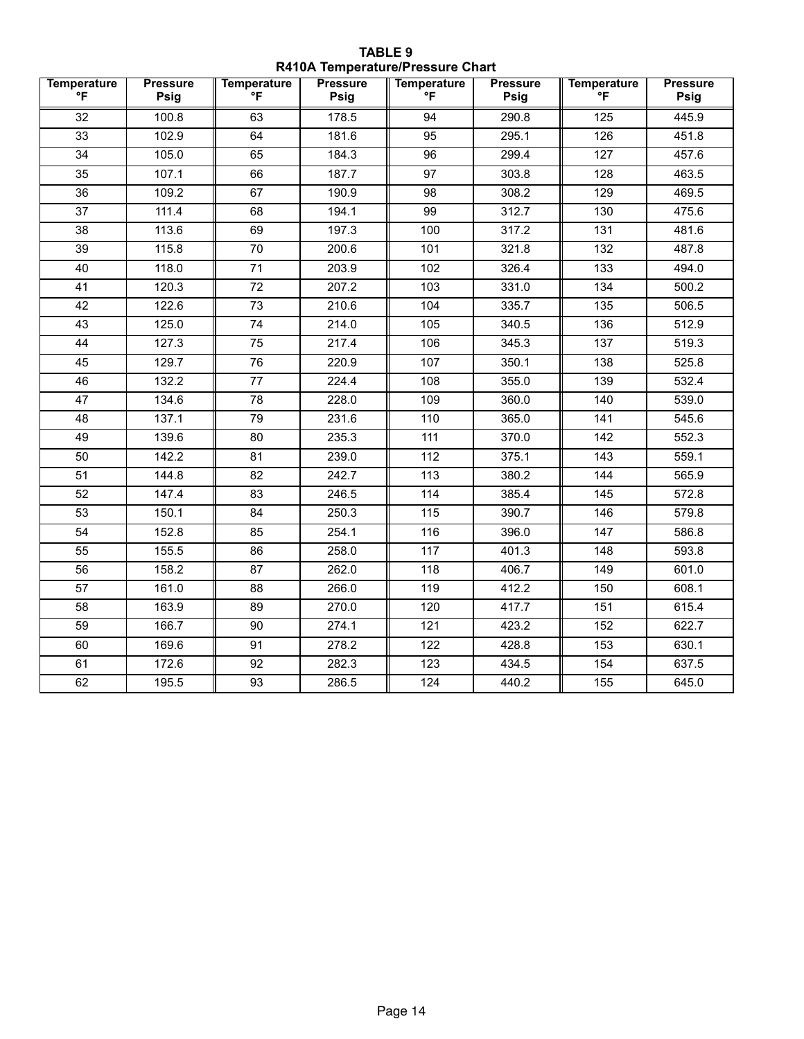TABLE 9 R410A Temperature/Pressure Chart

<span id="page-13-0"></span>

| <b>Temperature</b><br>$\mathsf{P}$ | <b>Pressure</b><br>Psig | <b>Temperature</b><br>°F | <b>Pressure</b><br>Psig | <b>Temperature</b><br>°F | <b>Pressure</b><br>Psig | <b>Temperature</b><br>$\mathsf{P}$ | <b>Pressure</b><br>Psig |
|------------------------------------|-------------------------|--------------------------|-------------------------|--------------------------|-------------------------|------------------------------------|-------------------------|
| 32                                 | 100.8                   | 63                       | 178.5                   | 94                       | 290.8                   | 125                                | 445.9                   |
| 33                                 | 102.9                   | 64                       | 181.6                   | 95                       | 295.1                   | 126                                | 451.8                   |
| 34                                 | 105.0                   | 65                       | 184.3                   | 96                       | 299.4                   | 127                                | 457.6                   |
| 35                                 | 107.1                   | 66                       | 187.7                   | 97                       | 303.8                   | 128                                | 463.5                   |
| 36                                 | 109.2                   | 67                       | 190.9                   | 98                       | 308.2                   | 129                                | 469.5                   |
| 37                                 | 111.4                   | 68                       | 194.1                   | 99                       | 312.7                   | 130                                | 475.6                   |
| $\overline{38}$                    | 113.6                   | 69                       | 197.3                   | 100                      | 317.2                   | $\frac{1}{131}$                    | 481.6                   |
| 39                                 | 115.8                   | $\overline{70}$          | 200.6                   | 101                      | 321.8                   | 132                                | 487.8                   |
| 40                                 | 118.0                   | 71                       | 203.9                   | 102                      | 326.4                   | 133                                | 494.0                   |
| 41                                 | 120.3                   | 72                       | 207.2                   | 103                      | 331.0                   | 134                                | 500.2                   |
| 42                                 | 122.6                   | 73                       | 210.6                   | 104                      | 335.7                   | 135                                | 506.5                   |
| 43                                 | 125.0                   | 74                       | 214.0                   | 105                      | 340.5                   | 136                                | 512.9                   |
| 44                                 | 127.3                   | 75                       | 217.4                   | 106                      | 345.3                   | 137                                | 519.3                   |
| 45                                 | 129.7                   | 76                       | 220.9                   | 107                      | 350.1                   | 138                                | 525.8                   |
| 46                                 | 132.2                   | 77                       | 224.4                   | 108                      | 355.0                   | 139                                | 532.4                   |
| 47                                 | 134.6                   | 78                       | 228.0                   | 109                      | 360.0                   | 140                                | 539.0                   |
| 48                                 | 137.1                   | $\overline{79}$          | 231.6                   | 110                      | 365.0                   | 141                                | 545.6                   |
| 49                                 | 139.6                   | 80                       | 235.3                   | 111                      | 370.0                   | 142                                | 552.3                   |
| 50                                 | 142.2                   | 81                       | 239.0                   | 112                      | 375.1                   | 143                                | 559.1                   |
| 51                                 | 144.8                   | 82                       | 242.7                   | 113                      | 380.2                   | 144                                | 565.9                   |
| 52                                 | 147.4                   | 83                       | 246.5                   | 114                      | 385.4                   | 145                                | 572.8                   |
| 53                                 | 150.1                   | 84                       | 250.3                   | 115                      | 390.7                   | 146                                | 579.8                   |
| 54                                 | 152.8                   | 85                       | 254.1                   | 116                      | 396.0                   | 147                                | 586.8                   |
| $\overline{55}$                    | 155.5                   | 86                       | 258.0                   | $\frac{1}{117}$          | 401.3                   | 148                                | 593.8                   |
| 56                                 | 158.2                   | 87                       | 262.0                   | 118                      | 406.7                   | 149                                | 601.0                   |
| 57                                 | 161.0                   | 88                       | 266.0                   | 119                      | 412.2                   | 150                                | 608.1                   |
| 58                                 | 163.9                   | 89                       | 270.0                   | 120                      | 417.7                   | 151                                | 615.4                   |
| 59                                 | 166.7                   | 90                       | 274.1                   | 121                      | 423.2                   | 152                                | 622.7                   |
| 60                                 | 169.6                   | 91                       | 278.2                   | 122                      | 428.8                   | 153                                | 630.1                   |
| 61                                 | 172.6                   | 92                       | 282.3                   | 123                      | 434.5                   | 154                                | 637.5                   |
| 62                                 | 195.5                   | 93                       | 286.5                   | 124                      | 440.2                   | 155                                | 645.0                   |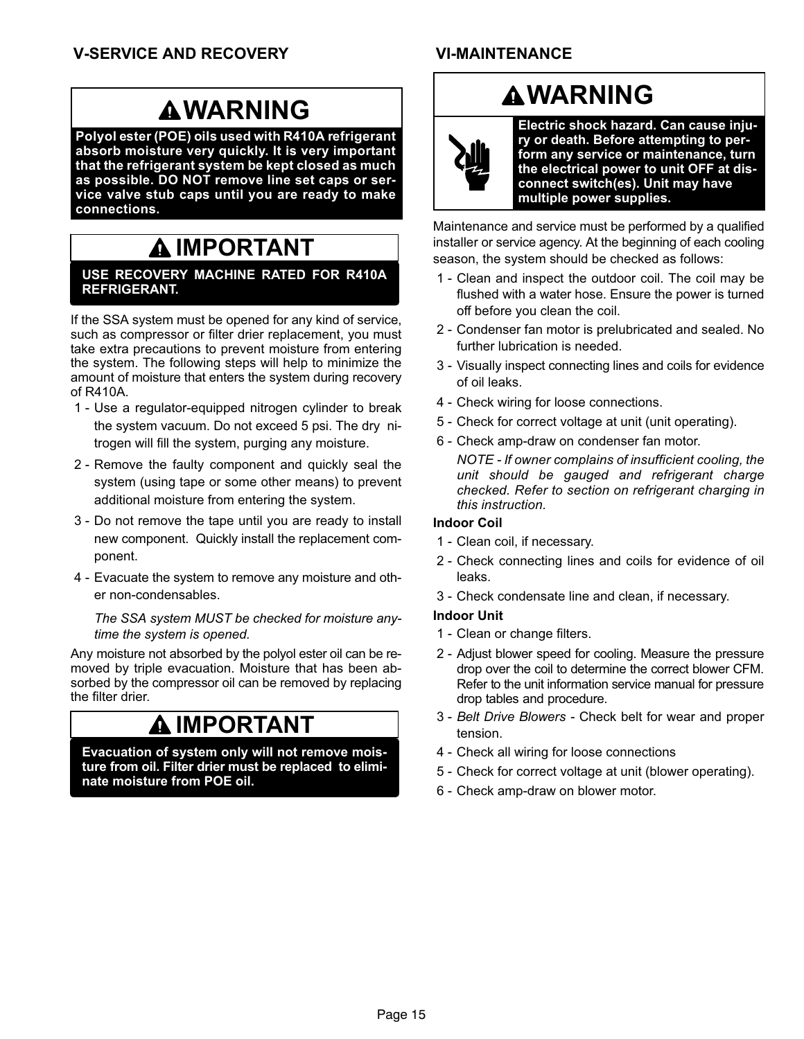### VI−MAINTENANCE

# **AWARNING**

Polyol ester (POE) oils used with R410A refrigerant absorb moisture very quickly. It is very important that the refrigerant system be kept closed as much as possible. DO NOT remove line set caps or service valve stub caps until you are ready to make connections.

# **AIMPORTANT**

#### USE RECOVERY MACHINE RATED FOR R410A REFRIGERANT.

If the SSA system must be opened for any kind of service, such as compressor or filter drier replacement, you must take extra precautions to prevent moisture from entering the system. The following steps will help to minimize the amount of moisture that enters the system during recovery of R410A.

- 1 − Use a regulator−equipped nitrogen cylinder to break the system vacuum. Do not exceed 5 psi. The dry nitrogen will fill the system, purging any moisture.
- 2 Remove the faulty component and quickly seal the system (using tape or some other means) to prevent additional moisture from entering the system.
- 3 − Do not remove the tape until you are ready to install new component. Quickly install the replacement component.
- 4 − Evacuate the system to remove any moisture and other non−condensables.

The SSA system MUST be checked for moisture anytime the system is opened.

Any moisture not absorbed by the polyol ester oil can be removed by triple evacuation. Moisture that has been absorbed by the compressor oil can be removed by replacing the filter drier.

# IMPORTANT

Evacuation of system only will not remove moisture from oil. Filter drier must be replaced to eliminate moisture from POE oil.

# **AWARNING**



Electric shock hazard. Can cause injury or death. Before attempting to perform any service or maintenance, turn the electrical power to unit OFF at disconnect switch(es). Unit may have multiple power supplies.

Maintenance and service must be performed by a qualified installer or service agency. At the beginning of each cooling season, the system should be checked as follows:

- 1 Clean and inspect the outdoor coil. The coil may be flushed with a water hose. Ensure the power is turned off before you clean the coil.
- 2 − Condenser fan motor is prelubricated and sealed. No further lubrication is needed.
- 3 − Visually inspect connecting lines and coils for evidence of oil leaks.
- 4 − Check wiring for loose connections.
- 5 Check for correct voltage at unit (unit operating).
- 6 − Check amp−draw on condenser fan motor.

NOTE − If owner complains of insufficient cooling, the unit should be gauged and refrigerant charge checked. Refer to section on refrigerant charging in this instruction.

### Indoor Coil

- 1 Clean coil, if necessary.
- 2 − Check connecting lines and coils for evidence of oil leaks.
- 3 − Check condensate line and clean, if necessary.

#### Indoor Unit

- 1 Clean or change filters.
- 2 − Adjust blower speed for cooling. Measure the pressure drop over the coil to determine the correct blower CFM. Refer to the unit information service manual for pressure drop tables and procedure.
- 3 − Belt Drive Blowers − Check belt for wear and proper tension.
- 4 − Check all wiring for loose connections
- 5 − Check for correct voltage at unit (blower operating).
- 6 − Check amp−draw on blower motor.